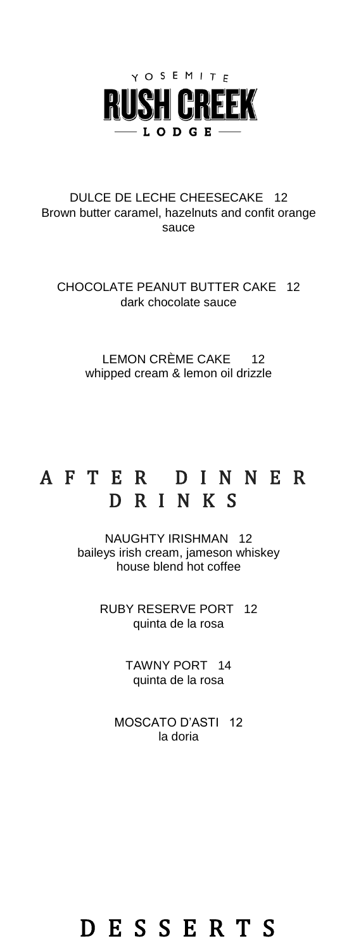

#### DULCE DE LECHE CHEESECAKE 12 Brown butter caramel, hazelnuts and confit orange sauce

CHOCOLATE PEANUT BUTTER CAKE 12 dark chocolate sauce

> LEMON CRÈME CAKE 12 whipped cream & lemon oil drizzle

### A F T E R D I N N E R D R I N K S

NAUGHTY IRISHMAN 12 baileys irish cream, jameson whiskey house blend hot coffee

> RUBY RESERVE PORT 12 quinta de la rosa

> > TAWNY PORT 14 quinta de la rosa

MOSCATO D'ASTI 12 la doria

## D E S S E R T S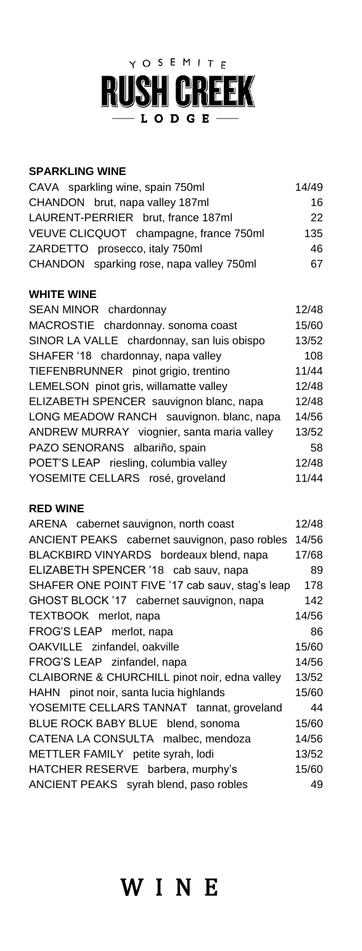## Y O S E M I T E **RUSH CREEK**  $-$  L O D G E  $-$

#### **SPARKLING WINE**

| CAVA sparkling wine, spain 750ml         | 14/49 |
|------------------------------------------|-------|
| CHANDON brut, napa valley 187ml          | 16    |
| LAURENT-PERRIER brut, france 187ml       | 22    |
| VEUVE CLICQUOT champagne, france 750ml   | 135   |
| ZARDETTO prosecco, italy 750ml           | 46    |
| CHANDON sparking rose, napa valley 750ml | 67    |

#### **WHITE WINE**

| SEAN MINOR chardonnay                      | 12/48 |
|--------------------------------------------|-------|
| MACROSTIE chardonnay. sonoma coast         | 15/60 |
| SINOR LA VALLE chardonnay, san luis obispo | 13/52 |
| SHAFER '18 chardonnay, napa valley         | 108   |
| TIEFENBRUNNER pinot grigio, trentino       | 11/44 |
| LEMELSON pinot gris, willamatte valley     | 12/48 |
| ELIZABETH SPENCER sauvignon blanc, napa    | 12/48 |
| LONG MEADOW RANCH sauvignon. blanc, napa   | 14/56 |
| ANDREW MURRAY viognier, santa maria valley | 13/52 |
| PAZO SENORANS albariño, spain              | 58    |
| POET'S LEAP riesling, columbia valley      | 12/48 |
| YOSEMITE CELLARS rosé, groveland           | 11/44 |
|                                            |       |

#### **RED WINE**

| ARENA cabernet sauvignon, north coast           | 12/48 |
|-------------------------------------------------|-------|
| ANCIENT PEAKS cabernet sauvignon, paso robles   | 14/56 |
| BLACKBIRD VINYARDS bordeaux blend, napa         | 17/68 |
| ELIZABETH SPENCER '18 cab sauv, napa            | 89    |
| SHAFER ONE POINT FIVE '17 cab sauv, stag's leap | 178   |
| GHOST BLOCK '17 cabernet sauvignon, napa        | 142   |
| TEXTBOOK merlot, napa                           | 14/56 |
| FROG'S LEAP merlot, napa                        | 86    |
| OAKVILLE zinfandel, oakville                    | 15/60 |
| FROG'S LEAP zinfandel, napa                     | 14/56 |
| CLAIBORNE & CHURCHILL pinot noir, edna valley   | 13/52 |
| HAHN pinot noir, santa lucia highlands          | 15/60 |
| YOSEMITE CELLARS TANNAT tannat, groveland       | 44    |
| BLUE ROCK BABY BLUE blend, sonoma               | 15/60 |
| CATENA LA CONSULTA malbec, mendoza              | 14/56 |
| METTLER FAMILY petite syrah, lodi               | 13/52 |
| HATCHER RESERVE barbera, murphy's               | 15/60 |
| ANCIENT PEAKS syrah blend, paso robles          | 49    |

## W I N E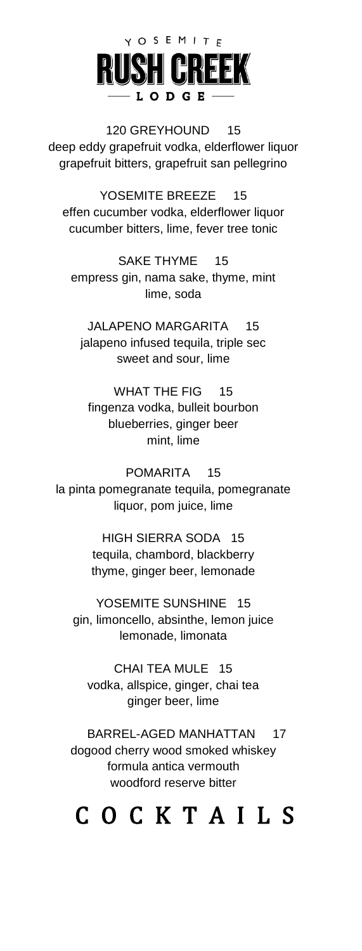# Y O S E M I T F LODGE

120 GREYHOUND 15 deep eddy grapefruit vodka, elderflower liquor grapefruit bitters, grapefruit san pellegrino

YOSEMITE BREEZE 15 effen cucumber vodka, elderflower liquor cucumber bitters, lime, fever tree tonic

SAKE THYME 15 empress gin, nama sake, thyme, mint lime, soda

JALAPENO MARGARITA 15 jalapeno infused tequila, triple sec sweet and sour, lime

WHAT THE FIG 15 fingenza vodka, bulleit bourbon blueberries, ginger beer mint, lime

POMARITA 15 la pinta pomegranate tequila, pomegranate liquor, pom juice, lime

> HIGH SIERRA SODA 15 tequila, chambord, blackberry thyme, ginger beer, lemonade

YOSEMITE SUNSHINE 15 gin, limoncello, absinthe, lemon juice lemonade, limonata

CHAI TEA MULE 15 vodka, allspice, ginger, chai tea ginger beer, lime

BARREL-AGED MANHATTAN 17 dogood cherry wood smoked whiskey formula antica vermouth woodford reserve bitter

## C O C K T A I L S C O C K T A I L S